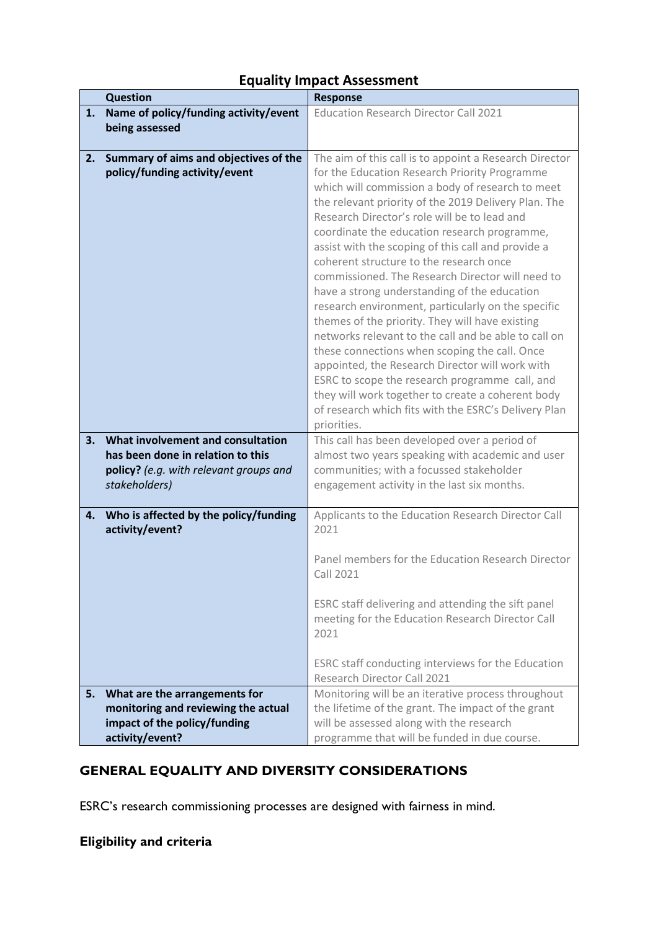# **Equality Impact Assessment**

|    | <b>Question</b>                                                        | <b>Response</b>                                                                                                                                                                                                                                                                                                                                                                                                                                                                                                                                                                                                                                                                                                                                                                                                                                                                                                                                                             |
|----|------------------------------------------------------------------------|-----------------------------------------------------------------------------------------------------------------------------------------------------------------------------------------------------------------------------------------------------------------------------------------------------------------------------------------------------------------------------------------------------------------------------------------------------------------------------------------------------------------------------------------------------------------------------------------------------------------------------------------------------------------------------------------------------------------------------------------------------------------------------------------------------------------------------------------------------------------------------------------------------------------------------------------------------------------------------|
| 1. | Name of policy/funding activity/event                                  | <b>Education Research Director Call 2021</b>                                                                                                                                                                                                                                                                                                                                                                                                                                                                                                                                                                                                                                                                                                                                                                                                                                                                                                                                |
|    | being assessed                                                         |                                                                                                                                                                                                                                                                                                                                                                                                                                                                                                                                                                                                                                                                                                                                                                                                                                                                                                                                                                             |
|    |                                                                        |                                                                                                                                                                                                                                                                                                                                                                                                                                                                                                                                                                                                                                                                                                                                                                                                                                                                                                                                                                             |
| 2. | Summary of aims and objectives of the<br>policy/funding activity/event | The aim of this call is to appoint a Research Director<br>for the Education Research Priority Programme<br>which will commission a body of research to meet<br>the relevant priority of the 2019 Delivery Plan. The<br>Research Director's role will be to lead and<br>coordinate the education research programme,<br>assist with the scoping of this call and provide a<br>coherent structure to the research once<br>commissioned. The Research Director will need to<br>have a strong understanding of the education<br>research environment, particularly on the specific<br>themes of the priority. They will have existing<br>networks relevant to the call and be able to call on<br>these connections when scoping the call. Once<br>appointed, the Research Director will work with<br>ESRC to scope the research programme call, and<br>they will work together to create a coherent body<br>of research which fits with the ESRC's Delivery Plan<br>priorities. |
| 3. | What involvement and consultation                                      | This call has been developed over a period of                                                                                                                                                                                                                                                                                                                                                                                                                                                                                                                                                                                                                                                                                                                                                                                                                                                                                                                               |
|    | has been done in relation to this                                      | almost two years speaking with academic and user                                                                                                                                                                                                                                                                                                                                                                                                                                                                                                                                                                                                                                                                                                                                                                                                                                                                                                                            |
|    | policy? (e.g. with relevant groups and                                 | communities; with a focussed stakeholder                                                                                                                                                                                                                                                                                                                                                                                                                                                                                                                                                                                                                                                                                                                                                                                                                                                                                                                                    |
|    | stakeholders)                                                          | engagement activity in the last six months.                                                                                                                                                                                                                                                                                                                                                                                                                                                                                                                                                                                                                                                                                                                                                                                                                                                                                                                                 |
| 4. | Who is affected by the policy/funding<br>activity/event?               | Applicants to the Education Research Director Call<br>2021<br>Panel members for the Education Research Director<br><b>Call 2021</b>                                                                                                                                                                                                                                                                                                                                                                                                                                                                                                                                                                                                                                                                                                                                                                                                                                         |
|    |                                                                        | ESRC staff delivering and attending the sift panel<br>meeting for the Education Research Director Call<br>2021<br>ESRC staff conducting interviews for the Education<br>Research Director Call 2021                                                                                                                                                                                                                                                                                                                                                                                                                                                                                                                                                                                                                                                                                                                                                                         |
| 5. | What are the arrangements for                                          | Monitoring will be an iterative process throughout                                                                                                                                                                                                                                                                                                                                                                                                                                                                                                                                                                                                                                                                                                                                                                                                                                                                                                                          |
|    | monitoring and reviewing the actual                                    | the lifetime of the grant. The impact of the grant                                                                                                                                                                                                                                                                                                                                                                                                                                                                                                                                                                                                                                                                                                                                                                                                                                                                                                                          |
|    | impact of the policy/funding                                           | will be assessed along with the research                                                                                                                                                                                                                                                                                                                                                                                                                                                                                                                                                                                                                                                                                                                                                                                                                                                                                                                                    |
|    | activity/event?                                                        | programme that will be funded in due course.                                                                                                                                                                                                                                                                                                                                                                                                                                                                                                                                                                                                                                                                                                                                                                                                                                                                                                                                |

# **GENERAL EQUALITY AND DIVERSITY CONSIDERATIONS**

ESRC's research commissioning processes are designed with fairness in mind.

# **Eligibility and criteria**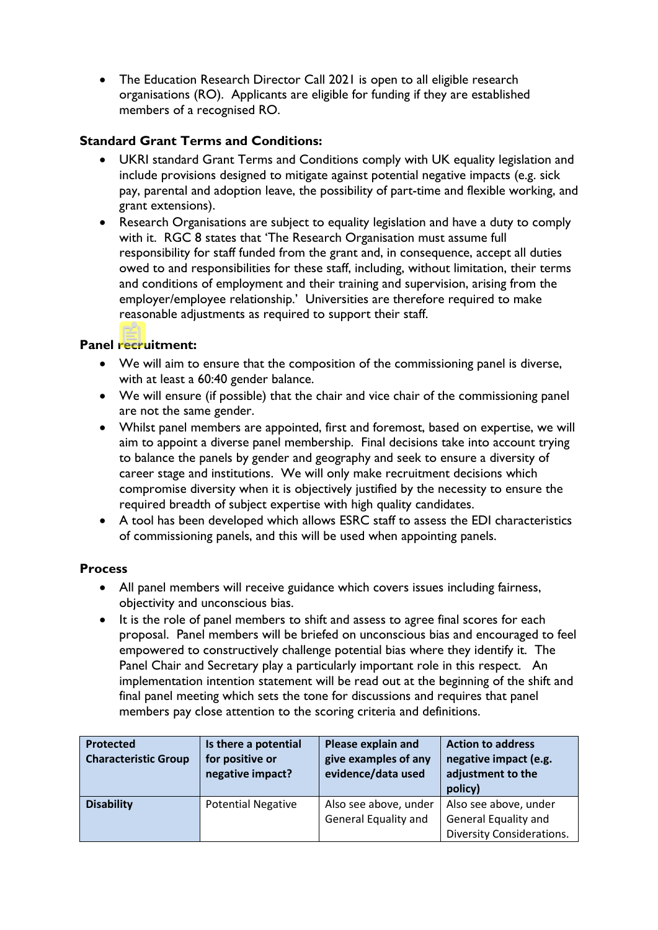• The Education Research Director Call 2021 is open to all eligible research organisations (RO). Applicants are eligible for funding if they are established members of a recognised RO.

### **Standard Grant Terms and Conditions:**

- UKRI standard Grant Terms and Conditions comply with UK equality legislation and include provisions designed to mitigate against potential negative impacts (e.g. sick pay, parental and adoption leave, the possibility of part-time and flexible working, and grant extensions).
- Research Organisations are subject to equality legislation and have a duty to comply with it. RGC 8 states that 'The Research Organisation must assume full responsibility for staff funded from the grant and, in consequence, accept all duties owed to and responsibilities for these staff, including, without limitation, their terms and conditions of employment and their training and supervision, arising from the employer/employee relationship.' Universities are therefore required to make reasonable adjustments as required to support their staff.

### **Panel recruitment:**

- We will aim to ensure that the composition of the commissioning panel is diverse, with at least a 60:40 gender balance.
- We will ensure (if possible) that the chair and vice chair of the commissioning panel are not the same gender.
- Whilst panel members are appointed, first and foremost, based on expertise, we will aim to appoint a diverse panel membership. Final decisions take into account trying to balance the panels by gender and geography and seek to ensure a diversity of career stage and institutions. We will only make recruitment decisions which compromise diversity when it is objectively justified by the necessity to ensure the required breadth of subject expertise with high quality candidates.
- A tool has been developed which allows ESRC staff to assess the EDI characteristics of commissioning panels, and this will be used when appointing panels.

#### **Process**

- All panel members will receive guidance which covers issues including fairness, objectivity and unconscious bias.
- It is the role of panel members to shift and assess to agree final scores for each proposal. Panel members will be briefed on unconscious bias and encouraged to feel empowered to constructively challenge potential bias where they identify it. The Panel Chair and Secretary play a particularly important role in this respect. An implementation intention statement will be read out at the beginning of the shift and final panel meeting which sets the tone for discussions and requires that panel members pay close attention to the scoring criteria and definitions.

| <b>Protected</b><br><b>Characteristic Group</b> | Is there a potential<br>for positive or<br>negative impact? | Please explain and<br>give examples of any<br>evidence/data used | <b>Action to address</b><br>negative impact (e.g.<br>adjustment to the<br>policy)        |
|-------------------------------------------------|-------------------------------------------------------------|------------------------------------------------------------------|------------------------------------------------------------------------------------------|
| <b>Disability</b>                               | <b>Potential Negative</b>                                   | Also see above, under<br><b>General Equality and</b>             | Also see above, under<br><b>General Equality and</b><br><b>Diversity Considerations.</b> |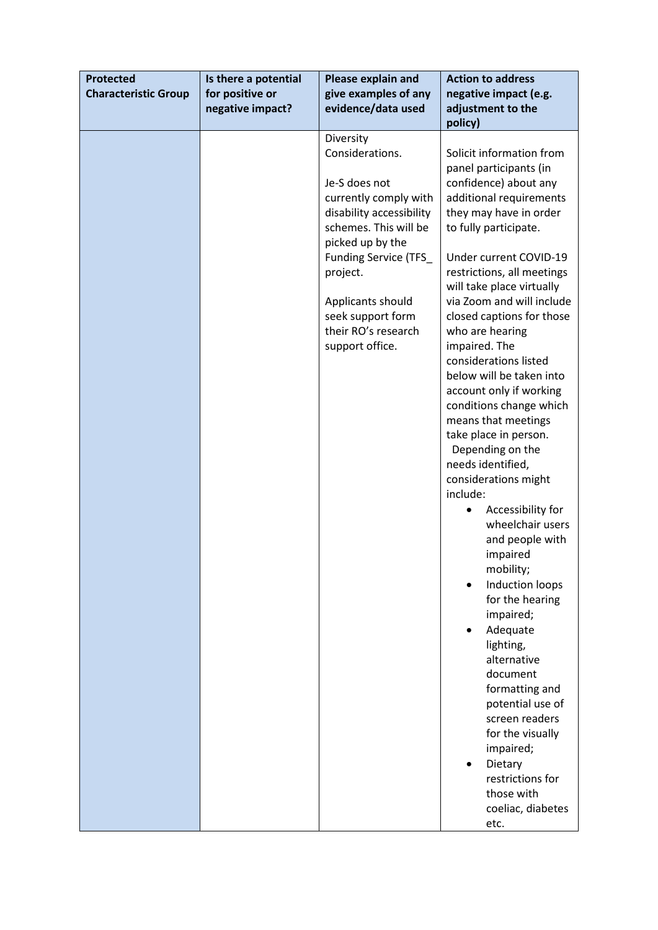| <b>Protected</b><br>Is there a potential<br>Please explain and<br>for positive or<br>give examples of any<br><b>Characteristic Group</b><br>negative impact?<br>evidence/data used |  | <b>Action to address</b><br>negative impact (e.g.<br>adjustment to the                                                                                                                                                                                                   |                                                                                                                                                                                                                                                                                                                                                                                                                                                                                                                                                                                                                                                                                                                                                                                                                                                                                                                                                                |
|------------------------------------------------------------------------------------------------------------------------------------------------------------------------------------|--|--------------------------------------------------------------------------------------------------------------------------------------------------------------------------------------------------------------------------------------------------------------------------|----------------------------------------------------------------------------------------------------------------------------------------------------------------------------------------------------------------------------------------------------------------------------------------------------------------------------------------------------------------------------------------------------------------------------------------------------------------------------------------------------------------------------------------------------------------------------------------------------------------------------------------------------------------------------------------------------------------------------------------------------------------------------------------------------------------------------------------------------------------------------------------------------------------------------------------------------------------|
|                                                                                                                                                                                    |  | Diversity<br>Considerations.<br>Je-S does not<br>currently comply with<br>disability accessibility<br>schemes. This will be<br>picked up by the<br>Funding Service (TFS_<br>project.<br>Applicants should<br>seek support form<br>their RO's research<br>support office. | policy)<br>Solicit information from<br>panel participants (in<br>confidence) about any<br>additional requirements<br>they may have in order<br>to fully participate.<br>Under current COVID-19<br>restrictions, all meetings<br>will take place virtually<br>via Zoom and will include<br>closed captions for those<br>who are hearing<br>impaired. The<br>considerations listed<br>below will be taken into<br>account only if working<br>conditions change which<br>means that meetings<br>take place in person.<br>Depending on the<br>needs identified,<br>considerations might<br>include:<br>Accessibility for<br>wheelchair users<br>and people with<br>impaired<br>mobility;<br>Induction loops<br>for the hearing<br>impaired;<br>Adequate<br>lighting,<br>alternative<br>document<br>formatting and<br>potential use of<br>screen readers<br>for the visually<br>impaired;<br>Dietary<br>restrictions for<br>those with<br>coeliac, diabetes<br>etc. |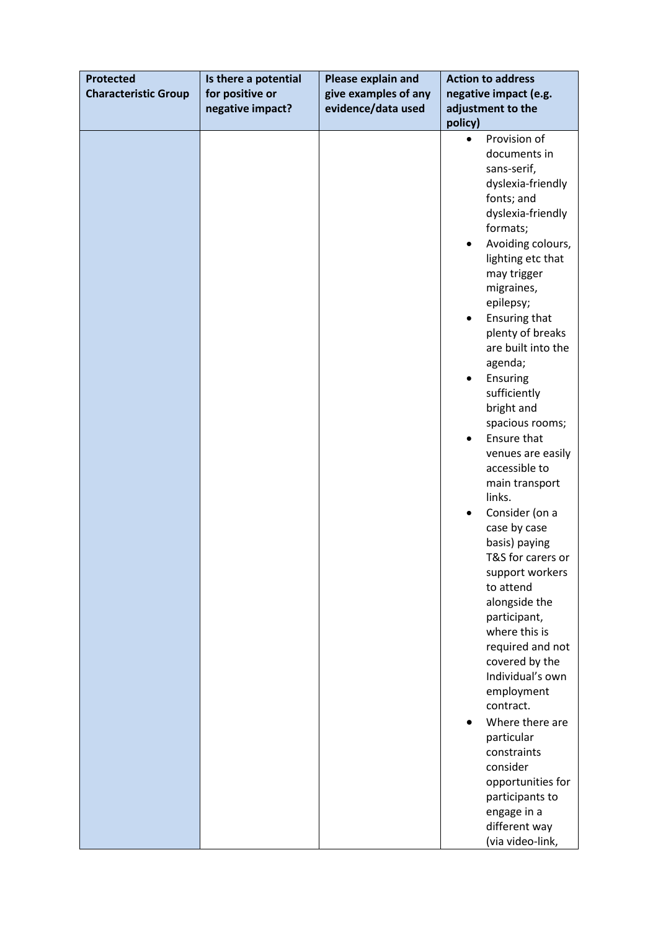| <b>Protected</b>            | Is there a potential | Please explain and   | <b>Action to address</b>                                                                                                                                                                                                                                                                                                                                                                                                                                                                                                                                                                                                                                                                                                                                                                                                                  |
|-----------------------------|----------------------|----------------------|-------------------------------------------------------------------------------------------------------------------------------------------------------------------------------------------------------------------------------------------------------------------------------------------------------------------------------------------------------------------------------------------------------------------------------------------------------------------------------------------------------------------------------------------------------------------------------------------------------------------------------------------------------------------------------------------------------------------------------------------------------------------------------------------------------------------------------------------|
| <b>Characteristic Group</b> | for positive or      | give examples of any | negative impact (e.g.                                                                                                                                                                                                                                                                                                                                                                                                                                                                                                                                                                                                                                                                                                                                                                                                                     |
|                             | negative impact?     | evidence/data used   | adjustment to the                                                                                                                                                                                                                                                                                                                                                                                                                                                                                                                                                                                                                                                                                                                                                                                                                         |
|                             |                      |                      | policy)                                                                                                                                                                                                                                                                                                                                                                                                                                                                                                                                                                                                                                                                                                                                                                                                                                   |
|                             |                      |                      | Provision of<br>$\bullet$<br>documents in<br>sans-serif,<br>dyslexia-friendly<br>fonts; and<br>dyslexia-friendly<br>formats;<br>Avoiding colours,<br>٠<br>lighting etc that<br>may trigger<br>migraines,<br>epilepsy;<br>Ensuring that<br>plenty of breaks<br>are built into the<br>agenda;<br>Ensuring<br>sufficiently<br>bright and<br>spacious rooms;<br>Ensure that<br>venues are easily<br>accessible to<br>main transport<br>links.<br>Consider (on a<br>$\bullet$<br>case by case<br>basis) paying<br>T&S for carers or<br>support workers<br>to attend<br>alongside the<br>participant,<br>where this is<br>required and not<br>covered by the<br>Individual's own<br>employment<br>contract.<br>Where there are<br>particular<br>constraints<br>consider<br>opportunities for<br>participants to<br>engage in a<br>different way |
|                             |                      |                      | (via video-link,                                                                                                                                                                                                                                                                                                                                                                                                                                                                                                                                                                                                                                                                                                                                                                                                                          |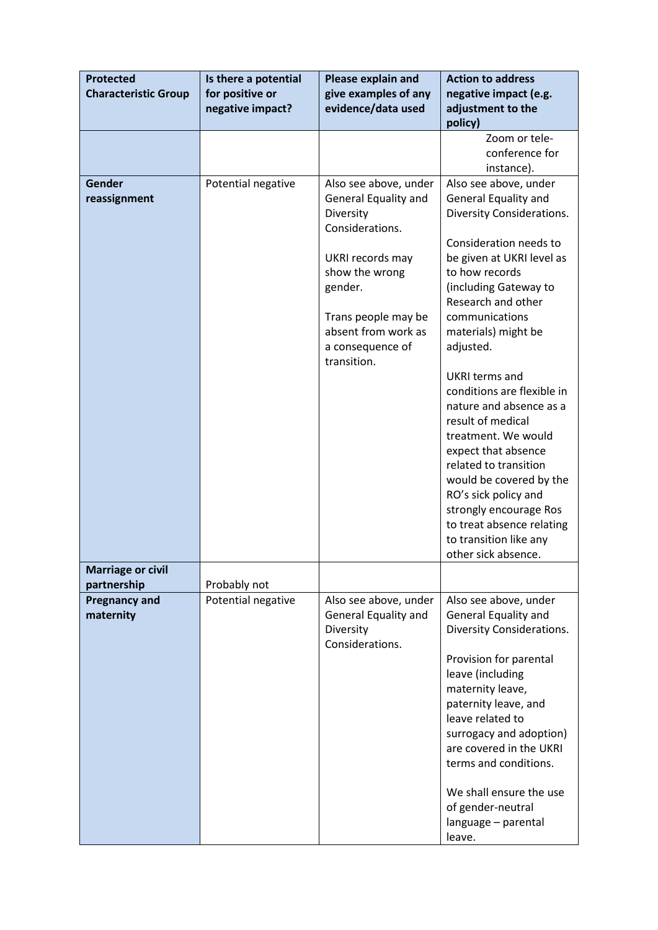| <b>Protected</b>            | Is there a potential | Please explain and                      | <b>Action to address</b>                        |
|-----------------------------|----------------------|-----------------------------------------|-------------------------------------------------|
| <b>Characteristic Group</b> | for positive or      | give examples of any                    | negative impact (e.g.                           |
|                             | negative impact?     | evidence/data used                      | adjustment to the                               |
|                             |                      |                                         | policy)                                         |
|                             |                      |                                         | Zoom or tele-                                   |
|                             |                      |                                         | conference for                                  |
| Gender                      | Potential negative   | Also see above, under                   | instance).<br>Also see above, under             |
| reassignment                |                      | General Equality and                    | General Equality and                            |
|                             |                      | Diversity                               | <b>Diversity Considerations.</b>                |
|                             |                      | Considerations.                         |                                                 |
|                             |                      |                                         | Consideration needs to                          |
|                             |                      | UKRI records may                        | be given at UKRI level as                       |
|                             |                      | show the wrong                          | to how records                                  |
|                             |                      | gender.                                 | (including Gateway to                           |
|                             |                      |                                         | Research and other                              |
|                             |                      | Trans people may be                     | communications                                  |
|                             |                      | absent from work as<br>a consequence of | materials) might be<br>adjusted.                |
|                             |                      | transition.                             |                                                 |
|                             |                      |                                         | UKRI terms and                                  |
|                             |                      |                                         | conditions are flexible in                      |
|                             |                      |                                         | nature and absence as a                         |
|                             |                      |                                         | result of medical                               |
|                             |                      |                                         | treatment. We would                             |
|                             |                      |                                         | expect that absence                             |
|                             |                      |                                         | related to transition                           |
|                             |                      |                                         | would be covered by the<br>RO's sick policy and |
|                             |                      |                                         | strongly encourage Ros                          |
|                             |                      |                                         | to treat absence relating                       |
|                             |                      |                                         | to transition like any                          |
|                             |                      |                                         | other sick absence.                             |
| <b>Marriage or civil</b>    |                      |                                         |                                                 |
| partnership                 | Probably not         |                                         |                                                 |
| <b>Pregnancy and</b>        | Potential negative   | Also see above, under                   | Also see above, under                           |
| maternity                   |                      | General Equality and                    | General Equality and                            |
|                             |                      | Diversity<br>Considerations.            | <b>Diversity Considerations.</b>                |
|                             |                      |                                         | Provision for parental                          |
|                             |                      |                                         | leave (including                                |
|                             |                      |                                         | maternity leave,                                |
|                             |                      |                                         | paternity leave, and                            |
|                             |                      |                                         | leave related to                                |
|                             |                      |                                         | surrogacy and adoption)                         |
|                             |                      |                                         | are covered in the UKRI                         |
|                             |                      |                                         | terms and conditions.                           |
|                             |                      |                                         | We shall ensure the use                         |
|                             |                      |                                         | of gender-neutral                               |
|                             |                      |                                         | language - parental                             |
|                             |                      |                                         | leave.                                          |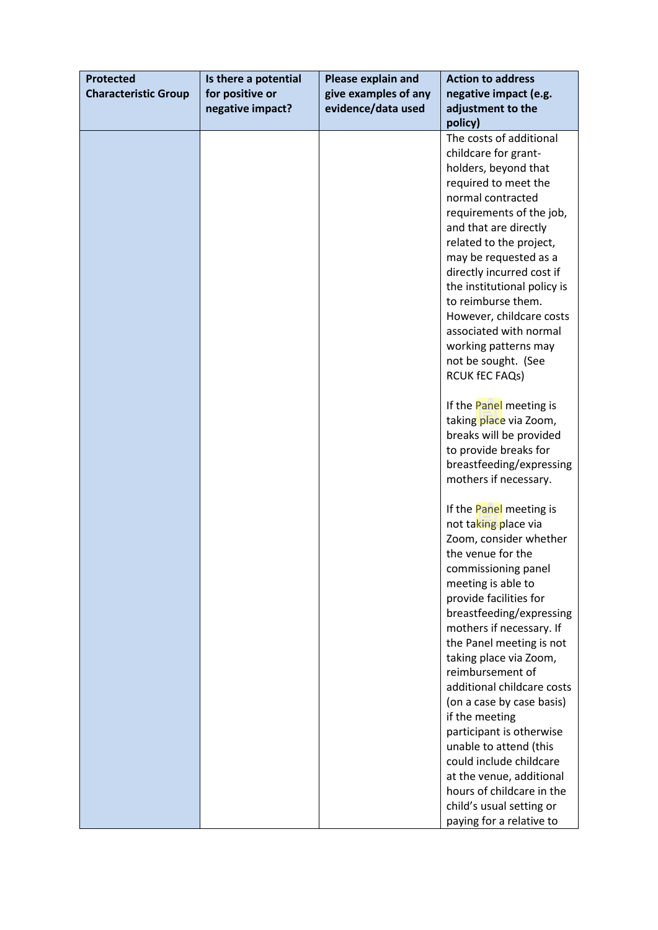| <b>Protected</b>            | Is there a potential | Please explain and   | <b>Action to address</b>    |
|-----------------------------|----------------------|----------------------|-----------------------------|
| <b>Characteristic Group</b> | for positive or      | give examples of any | negative impact (e.g.       |
|                             | negative impact?     | evidence/data used   | adjustment to the           |
|                             |                      |                      | policy)                     |
|                             |                      |                      | The costs of additional     |
|                             |                      |                      | childcare for grant-        |
|                             |                      |                      | holders, beyond that        |
|                             |                      |                      | required to meet the        |
|                             |                      |                      | normal contracted           |
|                             |                      |                      | requirements of the job,    |
|                             |                      |                      | and that are directly       |
|                             |                      |                      | related to the project,     |
|                             |                      |                      | may be requested as a       |
|                             |                      |                      | directly incurred cost if   |
|                             |                      |                      | the institutional policy is |
|                             |                      |                      | to reimburse them.          |
|                             |                      |                      | However, childcare costs    |
|                             |                      |                      | associated with normal      |
|                             |                      |                      | working patterns may        |
|                             |                      |                      | not be sought. (See         |
|                             |                      |                      | RCUK fEC FAQs)              |
|                             |                      |                      |                             |
|                             |                      |                      | If the Panel meeting is     |
|                             |                      |                      | taking place via Zoom,      |
|                             |                      |                      | breaks will be provided     |
|                             |                      |                      | to provide breaks for       |
|                             |                      |                      | breastfeeding/expressing    |
|                             |                      |                      | mothers if necessary.       |
|                             |                      |                      |                             |
|                             |                      |                      | If the Panel meeting is     |
|                             |                      |                      | not taking place via        |
|                             |                      |                      | Zoom, consider whether      |
|                             |                      |                      | the venue for the           |
|                             |                      |                      | commissioning panel         |
|                             |                      |                      | meeting is able to          |
|                             |                      |                      | provide facilities for      |
|                             |                      |                      | breastfeeding/expressing    |
|                             |                      |                      | mothers if necessary. If    |
|                             |                      |                      | the Panel meeting is not    |
|                             |                      |                      | taking place via Zoom,      |
|                             |                      |                      | reimbursement of            |
|                             |                      |                      | additional childcare costs  |
|                             |                      |                      | (on a case by case basis)   |
|                             |                      |                      | if the meeting              |
|                             |                      |                      | participant is otherwise    |
|                             |                      |                      | unable to attend (this      |
|                             |                      |                      | could include childcare     |
|                             |                      |                      | at the venue, additional    |
|                             |                      |                      | hours of childcare in the   |
|                             |                      |                      | child's usual setting or    |
|                             |                      |                      | paying for a relative to    |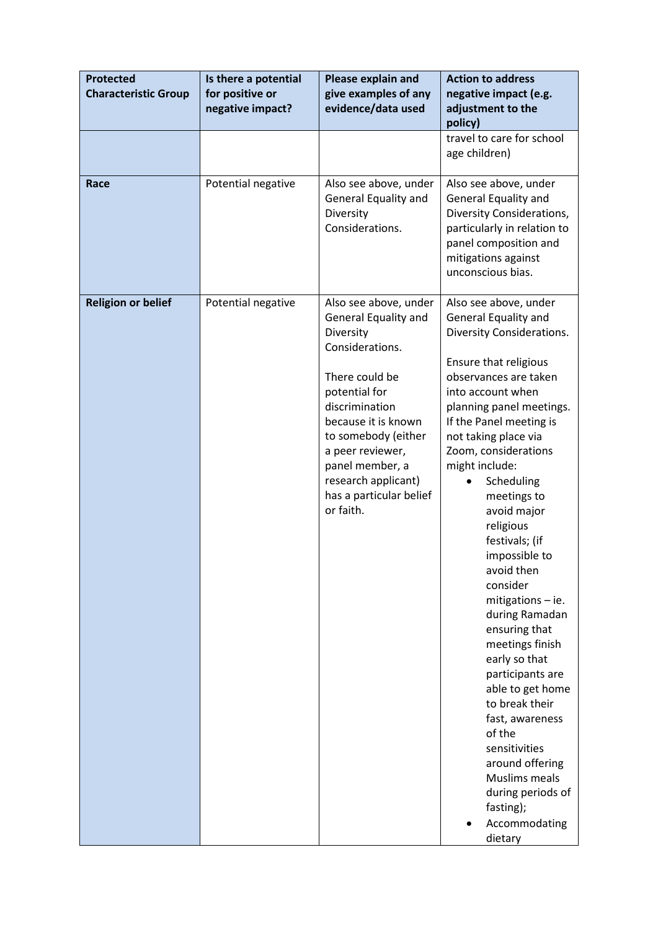| <b>Protected</b><br><b>Characteristic Group</b> | Is there a potential<br>for positive or<br>negative impact? | Please explain and<br>give examples of any<br>evidence/data used                                                                                                                                                                                                                       | <b>Action to address</b><br>negative impact (e.g.<br>adjustment to the<br>policy)                                                                                                                                                                                                                                                                                                                                                                                                                                                                                                                                                                                                                      |  |
|-------------------------------------------------|-------------------------------------------------------------|----------------------------------------------------------------------------------------------------------------------------------------------------------------------------------------------------------------------------------------------------------------------------------------|--------------------------------------------------------------------------------------------------------------------------------------------------------------------------------------------------------------------------------------------------------------------------------------------------------------------------------------------------------------------------------------------------------------------------------------------------------------------------------------------------------------------------------------------------------------------------------------------------------------------------------------------------------------------------------------------------------|--|
|                                                 |                                                             |                                                                                                                                                                                                                                                                                        | travel to care for school<br>age children)                                                                                                                                                                                                                                                                                                                                                                                                                                                                                                                                                                                                                                                             |  |
| Race                                            | Potential negative                                          | Also see above, under<br>General Equality and<br>Diversity<br>Considerations.                                                                                                                                                                                                          | Also see above, under<br>General Equality and<br>Diversity Considerations,<br>particularly in relation to<br>panel composition and<br>mitigations against<br>unconscious bias.                                                                                                                                                                                                                                                                                                                                                                                                                                                                                                                         |  |
| <b>Religion or belief</b>                       | Potential negative                                          | Also see above, under<br>General Equality and<br>Diversity<br>Considerations.<br>There could be<br>potential for<br>discrimination<br>because it is known<br>to somebody (either<br>a peer reviewer,<br>panel member, a<br>research applicant)<br>has a particular belief<br>or faith. | Also see above, under<br>General Equality and<br>Diversity Considerations.<br>Ensure that religious<br>observances are taken<br>into account when<br>planning panel meetings.<br>If the Panel meeting is<br>not taking place via<br>Zoom, considerations<br>might include:<br>Scheduling<br>meetings to<br>avoid major<br>religious<br>festivals; (if<br>impossible to<br>avoid then<br>consider<br>mitigations - ie.<br>during Ramadan<br>ensuring that<br>meetings finish<br>early so that<br>participants are<br>able to get home<br>to break their<br>fast, awareness<br>of the<br>sensitivities<br>around offering<br>Muslims meals<br>during periods of<br>fasting);<br>Accommodating<br>dietary |  |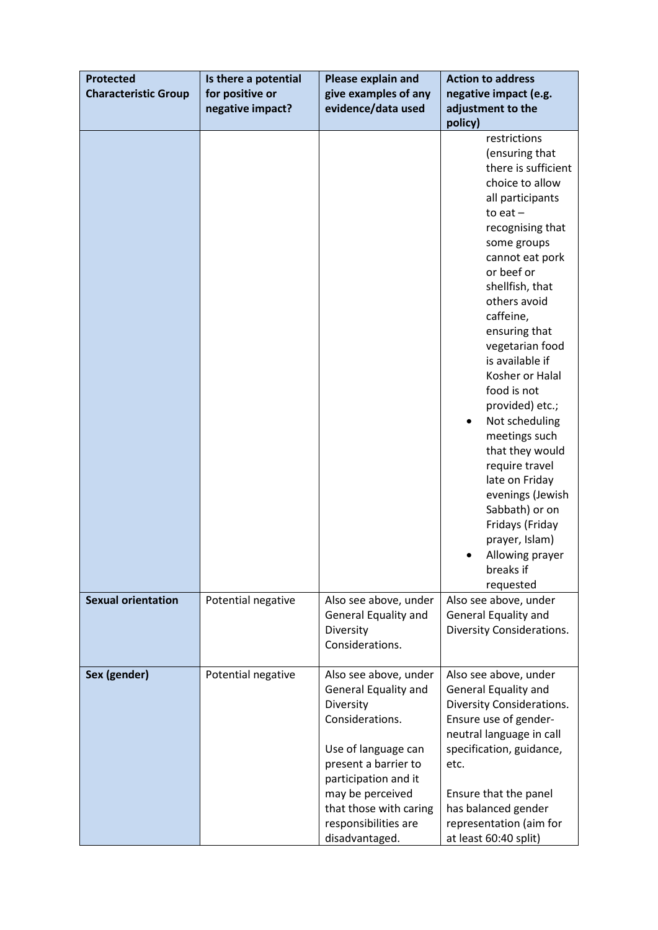| <b>Protected</b>            | Is there a potential | Please explain and                                                                                                                                                                                                                           | <b>Action to address</b>                                                                                                                                                                                                                                                                                                                                                                                                                                                                                                                                     |  |
|-----------------------------|----------------------|----------------------------------------------------------------------------------------------------------------------------------------------------------------------------------------------------------------------------------------------|--------------------------------------------------------------------------------------------------------------------------------------------------------------------------------------------------------------------------------------------------------------------------------------------------------------------------------------------------------------------------------------------------------------------------------------------------------------------------------------------------------------------------------------------------------------|--|
| <b>Characteristic Group</b> | for positive or      | give examples of any                                                                                                                                                                                                                         | negative impact (e.g.                                                                                                                                                                                                                                                                                                                                                                                                                                                                                                                                        |  |
|                             | negative impact?     | evidence/data used                                                                                                                                                                                                                           | adjustment to the                                                                                                                                                                                                                                                                                                                                                                                                                                                                                                                                            |  |
|                             |                      |                                                                                                                                                                                                                                              | policy)                                                                                                                                                                                                                                                                                                                                                                                                                                                                                                                                                      |  |
|                             |                      |                                                                                                                                                                                                                                              | restrictions<br>(ensuring that<br>there is sufficient<br>choice to allow<br>all participants<br>to eat $-$<br>recognising that<br>some groups<br>cannot eat pork<br>or beef or<br>shellfish, that<br>others avoid<br>caffeine,<br>ensuring that<br>vegetarian food<br>is available if<br>Kosher or Halal<br>food is not<br>provided) etc.;<br>Not scheduling<br>meetings such<br>that they would<br>require travel<br>late on Friday<br>evenings (Jewish<br>Sabbath) or on<br>Fridays (Friday<br>prayer, Islam)<br>Allowing prayer<br>breaks if<br>requested |  |
| <b>Sexual orientation</b>   | Potential negative   | Also see above, under<br>General Equality and<br>Diversity<br>Considerations.                                                                                                                                                                | Also see above, under<br>General Equality and<br>Diversity Considerations.                                                                                                                                                                                                                                                                                                                                                                                                                                                                                   |  |
| Sex (gender)                | Potential negative   | Also see above, under<br>General Equality and<br>Diversity<br>Considerations.<br>Use of language can<br>present a barrier to<br>participation and it<br>may be perceived<br>that those with caring<br>responsibilities are<br>disadvantaged. | Also see above, under<br>General Equality and<br>Diversity Considerations.<br>Ensure use of gender-<br>neutral language in call<br>specification, guidance,<br>etc.<br>Ensure that the panel<br>has balanced gender<br>representation (aim for<br>at least 60:40 split)                                                                                                                                                                                                                                                                                      |  |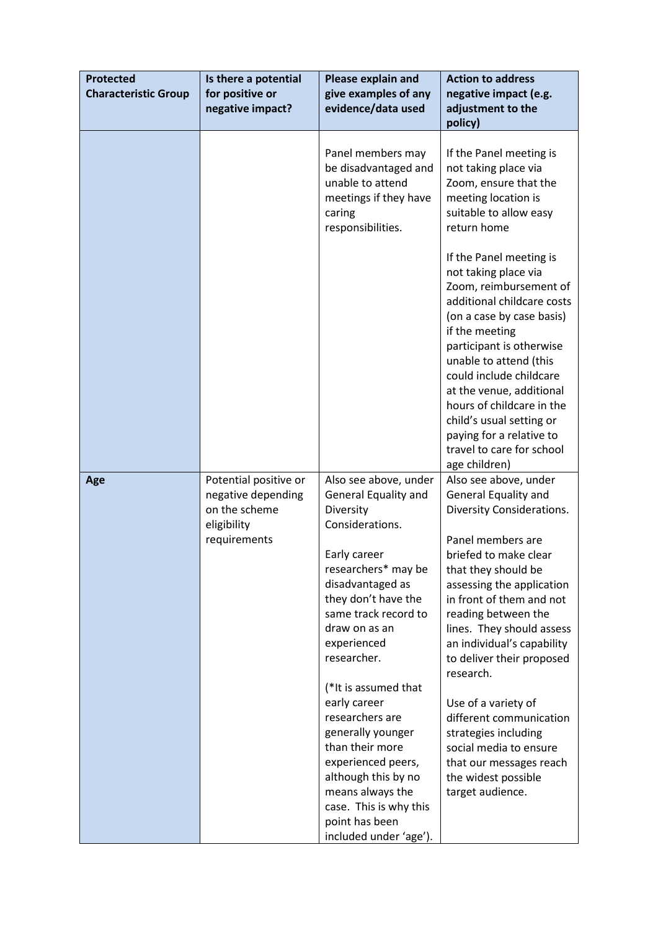| <b>Protected</b><br><b>Characteristic Group</b> | Is there a potential<br>for positive or<br>negative impact?                 | Please explain and<br>give examples of any<br>evidence/data used                                                                                                                     | <b>Action to address</b><br>negative impact (e.g.<br>adjustment to the<br>policy)                                                                                                                                                                                                                                                                                                                      |
|-------------------------------------------------|-----------------------------------------------------------------------------|--------------------------------------------------------------------------------------------------------------------------------------------------------------------------------------|--------------------------------------------------------------------------------------------------------------------------------------------------------------------------------------------------------------------------------------------------------------------------------------------------------------------------------------------------------------------------------------------------------|
|                                                 |                                                                             | Panel members may<br>be disadvantaged and<br>unable to attend<br>meetings if they have<br>caring<br>responsibilities.                                                                | If the Panel meeting is<br>not taking place via<br>Zoom, ensure that the<br>meeting location is<br>suitable to allow easy<br>return home                                                                                                                                                                                                                                                               |
|                                                 |                                                                             |                                                                                                                                                                                      | If the Panel meeting is<br>not taking place via<br>Zoom, reimbursement of<br>additional childcare costs<br>(on a case by case basis)<br>if the meeting<br>participant is otherwise<br>unable to attend (this<br>could include childcare<br>at the venue, additional<br>hours of childcare in the<br>child's usual setting or<br>paying for a relative to<br>travel to care for school<br>age children) |
| Age                                             | Potential positive or<br>negative depending<br>on the scheme<br>eligibility | Also see above, under<br>General Equality and<br>Diversity<br>Considerations.                                                                                                        | Also see above, under<br><b>General Equality and</b><br>Diversity Considerations.                                                                                                                                                                                                                                                                                                                      |
|                                                 | requirements                                                                | Early career<br>researchers* may be<br>disadvantaged as<br>they don't have the<br>same track record to<br>draw on as an<br>experienced<br>researcher.<br>(*It is assumed that        | Panel members are<br>briefed to make clear<br>that they should be<br>assessing the application<br>in front of them and not<br>reading between the<br>lines. They should assess<br>an individual's capability<br>to deliver their proposed<br>research.                                                                                                                                                 |
|                                                 |                                                                             | early career<br>researchers are<br>generally younger<br>than their more<br>experienced peers,<br>although this by no<br>means always the<br>case. This is why this<br>point has been | Use of a variety of<br>different communication<br>strategies including<br>social media to ensure<br>that our messages reach<br>the widest possible<br>target audience.                                                                                                                                                                                                                                 |